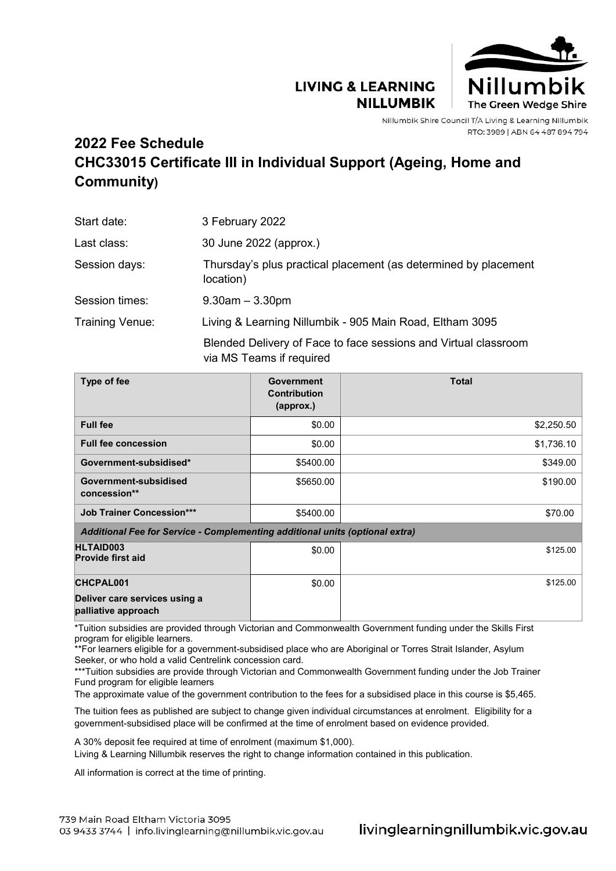## **LIVING & LEARNING NILLUMBIK**



Nillumbik Shire Council T/A Living & Learning Nillumbik RTO: 3989 | ABN 64 487 894 794

## **2022 Fee Schedule CHC33015 Certificate III in Individual Support (Ageing, Home and Community)**

| Start date:     | 3 February 2022                                                                             |  |
|-----------------|---------------------------------------------------------------------------------------------|--|
| Last class:     | 30 June 2022 (approx.)                                                                      |  |
| Session days:   | Thursday's plus practical placement (as determined by placement<br>location)                |  |
| Session times:  | $9.30$ am $-3.30$ pm                                                                        |  |
| Training Venue: | Living & Learning Nillumbik - 905 Main Road, Eltham 3095                                    |  |
|                 | Blended Delivery of Face to face sessions and Virtual classroom<br>via MS Teams if required |  |

| Type of fee                                                                  | <b>Government</b><br><b>Contribution</b><br>(approx.) | <b>Total</b> |  |  |  |
|------------------------------------------------------------------------------|-------------------------------------------------------|--------------|--|--|--|
| <b>Full fee</b>                                                              | \$0.00                                                | \$2,250.50   |  |  |  |
| <b>Full fee concession</b>                                                   | \$0.00                                                | \$1,736.10   |  |  |  |
| Government-subsidised*                                                       | \$5400.00                                             | \$349.00     |  |  |  |
| Government-subsidised<br>concession**                                        | \$5650.00                                             | \$190.00     |  |  |  |
| <b>Job Trainer Concession***</b>                                             | \$5400.00                                             | \$70.00      |  |  |  |
| Additional Fee for Service - Complementing additional units (optional extra) |                                                       |              |  |  |  |
| <b>HLTAID003</b><br><b>Provide first aid</b>                                 | \$0.00                                                | \$125.00     |  |  |  |
| <b>CHCPAL001</b>                                                             | \$0.00                                                | \$125.00     |  |  |  |
| Deliver care services using a<br>palliative approach                         |                                                       |              |  |  |  |

\*Tuition subsidies are provided through Victorian and Commonwealth Government funding under the Skills First program for eligible learners.

\*\*For learners eligible for a government-subsidised place who are Aboriginal or Torres Strait Islander, Asylum Seeker, or who hold a valid Centrelink concession card.

\*\*\*Tuition subsidies are provide through Victorian and Commonwealth Government funding under the Job Trainer Fund program for eligible learners

The approximate value of the government contribution to the fees for a subsidised place in this course is \$5,465.

The tuition fees as published are subject to change given individual circumstances at enrolment. Eligibility for a government-subsidised place will be confirmed at the time of enrolment based on evidence provided.

A 30% deposit fee required at time of enrolment (maximum \$1,000).

Living & Learning Nillumbik reserves the right to change information contained in this publication.

All information is correct at the time of printing.